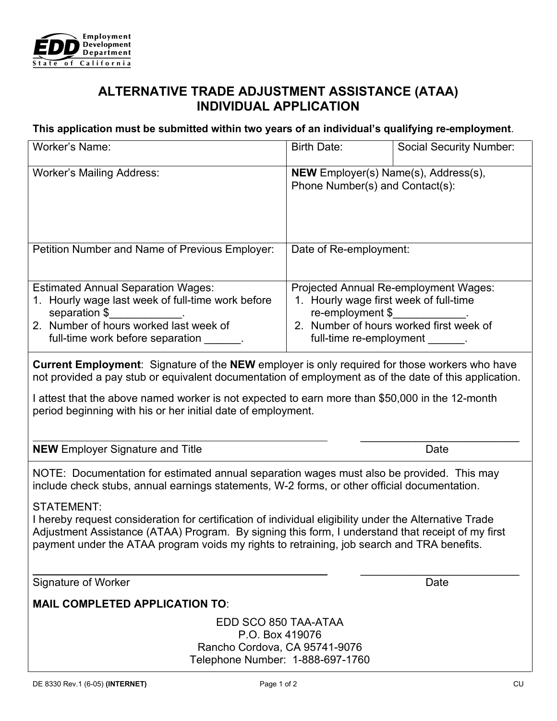

## **ALTERNATIVE TRADE ADJUSTMENT ASSISTANCE (ATAA) INDIVIDUAL APPLICATION**

## **This application must be submitted within two years of an individual's qualifying re-employment**.

| <b>Worker's Name:</b>                                                                                                                                                                                                                                                                                                                                                     | <b>Birth Date:</b>                                                                                                                                                                 | <b>Social Security Number:</b> |
|---------------------------------------------------------------------------------------------------------------------------------------------------------------------------------------------------------------------------------------------------------------------------------------------------------------------------------------------------------------------------|------------------------------------------------------------------------------------------------------------------------------------------------------------------------------------|--------------------------------|
| <b>Worker's Mailing Address:</b>                                                                                                                                                                                                                                                                                                                                          | NEW Employer(s) Name(s), Address(s),<br>Phone Number(s) and Contact(s):                                                                                                            |                                |
| Petition Number and Name of Previous Employer:                                                                                                                                                                                                                                                                                                                            | Date of Re-employment:                                                                                                                                                             |                                |
| <b>Estimated Annual Separation Wages:</b><br>1. Hourly wage last week of full-time work before<br>separation \$<br>2. Number of hours worked last week of<br>full-time work before separation _______.                                                                                                                                                                    | Projected Annual Re-employment Wages:<br>1. Hourly wage first week of full-time<br>re-employment \$<br>2. Number of hours worked first week of<br>full-time re-employment _______. |                                |
| Current Employment: Signature of the NEW employer is only required for those workers who have<br>not provided a pay stub or equivalent documentation of employment as of the date of this application.<br>I attest that the above named worker is not expected to earn more than \$50,000 in the 12-month<br>period beginning with his or her initial date of employment. |                                                                                                                                                                                    |                                |
| <b>NEW</b> Employer Signature and Title                                                                                                                                                                                                                                                                                                                                   |                                                                                                                                                                                    | Date                           |
| NOTE: Documentation for estimated annual separation wages must also be provided. This may<br>include check stubs, annual earnings statements, W-2 forms, or other official documentation.<br><b>STATEMENT:</b>                                                                                                                                                            |                                                                                                                                                                                    |                                |
| I hereby request consideration for certification of individual eligibility under the Alternative Trade                                                                                                                                                                                                                                                                    |                                                                                                                                                                                    |                                |

I hereby request consideration for certification of individual eligibility under the Alternative Trade Adjustment Assistance (ATAA) Program. By signing this form, I understand that receipt of my first payment under the ATAA program voids my rights to retraining, job search and TRA benefits.

Signature of Worker

\_\_\_\_\_\_\_\_\_\_\_\_\_\_\_\_\_\_\_\_\_\_\_\_\_\_ Date

## **MAIL COMPLETED APPLICATION TO**:

EDD SCO 850 TAA-ATAA P.O. Box 419076 Rancho Cordova, CA 95741-9076 Telephone Number: 1-888-697-1760